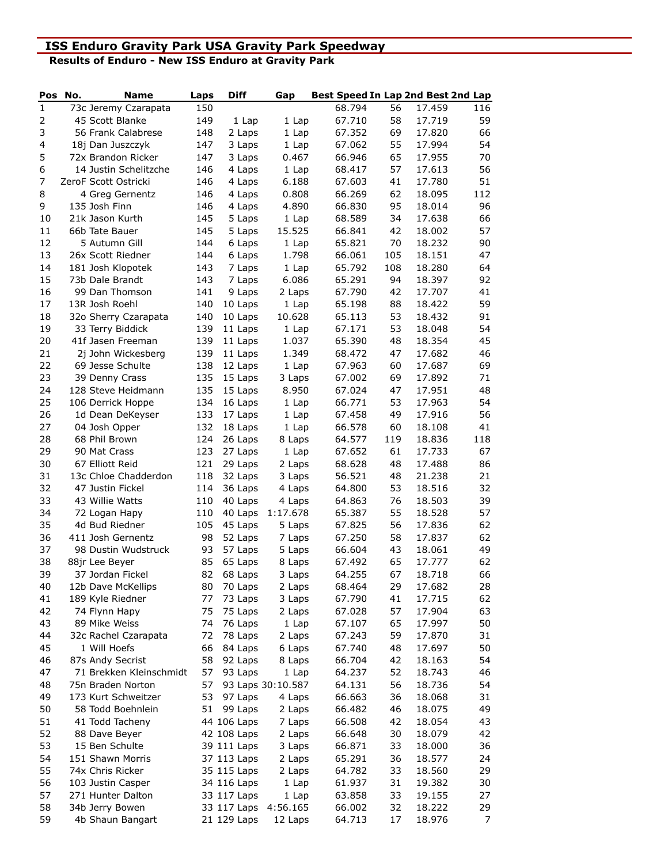## **ISS Enduro Gravity Park USA Gravity Park Speedway**

**Results of Enduro - New ISS Enduro at Gravity Park**

| Pos            | No. | <b>Name</b>                           | Laps       | <b>Diff</b>        | Gap               | Best Speed In Lap 2nd Best 2nd Lap |          |                  |                |
|----------------|-----|---------------------------------------|------------|--------------------|-------------------|------------------------------------|----------|------------------|----------------|
| $\mathbf{1}$   |     | 73c Jeremy Czarapata                  | 150        |                    |                   | 68.794                             | 56       | 17.459           | 116            |
| $\overline{2}$ |     | 45 Scott Blanke                       | 149        | 1 Lap              | 1 Lap             | 67.710                             | 58       | 17.719           | 59             |
| 3              |     | 56 Frank Calabrese                    | 148        | 2 Laps             | 1 Lap             | 67.352                             | 69       | 17.820           | 66             |
| 4              |     | 18j Dan Juszczyk                      | 147        | 3 Laps             | $1$ Lap           | 67.062                             | 55       | 17.994           | 54             |
| 5              |     | 72x Brandon Ricker                    | 147        | 3 Laps             | 0.467             | 66.946                             | 65       | 17.955           | 70             |
| 6              |     | 14 Justin Schelitzche                 | 146        | 4 Laps             | 1 Lap             | 68.417                             | 57       | 17.613           | 56             |
| $\overline{7}$ |     | ZeroF Scott Ostricki                  | 146        | 4 Laps             | 6.188             | 67.603                             | 41       | 17.780           | 51             |
| 8              |     | 4 Greg Gernentz                       | 146        | 4 Laps             | 0.808             | 66.269                             | 62       | 18.095           | 112            |
| 9              |     | 135 Josh Finn                         | 146        | 4 Laps             | 4.890             | 66.830                             | 95       | 18.014           | 96             |
| 10             |     | 21k Jason Kurth                       | 145        | 5 Laps             | 1 Lap             | 68.589                             | 34       | 17.638           | 66             |
| 11             |     | 66b Tate Bauer                        | 145        | 5 Laps             | 15.525            | 66.841                             | 42       | 18.002           | 57             |
| 12             |     | 5 Autumn Gill                         | 144        | 6 Laps             | 1 Lap             | 65.821                             | 70       | 18.232           | 90             |
| 13             |     | 26x Scott Riedner                     | 144        | 6 Laps             | 1.798             | 66.061                             | 105      | 18.151           | 47             |
| 14             |     | 181 Josh Klopotek                     | 143        | 7 Laps             | 1 Lap             | 65.792                             | 108      | 18.280           | 64             |
| 15             |     | 73b Dale Brandt                       | 143        | 7 Laps             | 6.086             | 65.291                             | 94       | 18.397           | 92             |
| 16             |     | 99 Dan Thomson                        | 141        | 9 Laps             | 2 Laps            | 67.790                             | 42       | 17.707           | 41             |
| 17             |     | 13R Josh Roehl                        | 140        | 10 Laps            | 1 Lap             | 65.198                             | 88       | 18.422           | 59             |
| 18             |     | 32o Sherry Czarapata                  | 140        | 10 Laps            | 10.628            | 65.113                             | 53       | 18.432           | 91             |
| 19             |     | 33 Terry Biddick                      | 139        | 11 Laps            | 1 Lap             | 67.171                             | 53       | 18.048           | 54             |
| 20             |     | 41f Jasen Freeman                     | 139        | 11 Laps            | 1.037             | 65.390                             | 48       | 18.354           | 45             |
| 21             |     | 2j John Wickesberg                    | 139        | 11 Laps            | 1.349             | 68.472                             | 47       | 17.682           | 46             |
| 22<br>23       |     | 69 Jesse Schulte                      | 138        | 12 Laps            | 1 Lap             | 67.963                             | 60<br>69 | 17.687           | 69<br>71       |
| 24             |     | 39 Denny Crass                        | 135<br>135 | 15 Laps            | 3 Laps            | 67.002                             | 47       | 17.892           | 48             |
| 25             |     | 128 Steve Heidmann                    | 134        | 15 Laps            | 8.950             | 67.024<br>66.771                   | 53       | 17.951<br>17.963 | 54             |
| 26             |     | 106 Derrick Hoppe<br>1d Dean DeKeyser | 133        | 16 Laps<br>17 Laps | 1 Lap             | 67.458                             | 49       | 17.916           | 56             |
| 27             |     | 04 Josh Opper                         | 132        |                    | 1 Lap<br>1 Lap    | 66.578                             | 60       | 18.108           | 41             |
| 28             |     | 68 Phil Brown                         | 124        | 18 Laps<br>26 Laps | 8 Laps            | 64.577                             | 119      | 18.836           | 118            |
| 29             |     | 90 Mat Crass                          | 123        | 27 Laps            | 1 Lap             | 67.652                             | 61       | 17.733           | 67             |
| 30             |     | 67 Elliott Reid                       | 121        | 29 Laps            | 2 Laps            | 68.628                             | 48       | 17.488           | 86             |
| 31             |     | 13c Chloe Chadderdon                  | 118        | 32 Laps            | 3 Laps            | 56.521                             | 48       | 21.238           | 21             |
| 32             |     | 47 Justin Fickel                      | 114        | 36 Laps            | 4 Laps            | 64.800                             | 53       | 18.516           | 32             |
| 33             |     | 43 Willie Watts                       | 110        | 40 Laps            | 4 Laps            | 64.863                             | 76       | 18.503           | 39             |
| 34             |     | 72 Logan Hapy                         | 110        | 40 Laps            | 1:17.678          | 65.387                             | 55       | 18.528           | 57             |
| 35             |     | 4d Bud Riedner                        | 105        | 45 Laps            | 5 Laps            | 67.825                             | 56       | 17.836           | 62             |
| 36             |     | 411 Josh Gernentz                     | 98         | 52 Laps            | 7 Laps            | 67.250                             | 58       | 17.837           | 62             |
| 37             |     | 98 Dustin Wudstruck                   | 93         | 57 Laps            | 5 Laps            | 66.604                             | 43       | 18.061           | 49             |
| 38             |     | 88jr Lee Beyer                        | 85         | 65 Laps            | 8 Laps            | 67.492                             | 65       | 17.777           | 62             |
| 39             |     | 37 Jordan Fickel                      | 82         | 68 Laps            | 3 Laps            | 64.255                             | 67       | 18.718           | 66             |
| 40             |     | 12b Dave McKellips                    | 80         | 70 Laps            | 2 Laps            | 68.464                             | 29       | 17.682           | 28             |
| 41             |     | 189 Kyle Riedner                      | 77         | 73 Laps            | 3 Laps            | 67.790                             | 41       | 17.715           | 62             |
| 42             |     | 74 Flynn Hapy                         | 75         | 75 Laps            | 2 Laps            | 67.028                             | 57       | 17.904           | 63             |
| 43             |     | 89 Mike Weiss                         | 74         | 76 Laps            | 1 Lap             | 67.107                             | 65       | 17.997           | 50             |
| 44             |     | 32c Rachel Czarapata                  | 72         | 78 Laps            | 2 Laps            | 67.243                             | 59       | 17.870           | 31             |
| 45             |     | 1 Will Hoefs                          | 66         | 84 Laps            | 6 Laps            | 67.740                             | 48       | 17.697           | 50             |
| 46             |     | 87s Andy Secrist                      | 58         | 92 Laps            | 8 Laps            | 66.704                             | 42       | 18.163           | 54             |
| 47             |     | 71 Brekken Kleinschmidt               | 57         | 93 Laps            | 1 Lap             | 64.237                             | 52       | 18.743           | 46             |
| 48             |     | 75n Braden Norton                     | 57         |                    | 93 Laps 30:10.587 | 64.131                             | 56       | 18.736           | 54             |
| 49             |     | 173 Kurt Schweitzer                   | 53         | 97 Laps            | 4 Laps            | 66.663                             | 36       | 18.068           | 31             |
| 50             |     | 58 Todd Boehnlein                     | 51         | 99 Laps            | 2 Laps            | 66.482                             | 46       | 18.075           | 49             |
| 51             |     | 41 Todd Tacheny                       |            | 44 106 Laps        | 7 Laps            | 66.508                             | 42       | 18.054           | 43             |
| 52             |     | 88 Dave Beyer                         |            | 42 108 Laps        | 2 Laps            | 66.648                             | 30       | 18.079           | 42             |
| 53             |     | 15 Ben Schulte                        |            | 39 111 Laps        | 3 Laps            | 66.871                             | 33       | 18.000           | 36             |
| 54             |     | 151 Shawn Morris                      |            | 37 113 Laps        | 2 Laps            | 65.291                             | 36       | 18.577           | 24             |
| 55             |     | 74x Chris Ricker                      |            | 35 115 Laps        | 2 Laps            | 64.782                             | 33       | 18.560           | 29             |
| 56             |     | 103 Justin Casper                     |            | 34 116 Laps        | 1 Lap             | 61.937                             | 31       | 19.382           | 30             |
| 57             |     | 271 Hunter Dalton                     |            | 33 117 Laps        | 1 Lap             | 63.858                             | 33       | 19.155           | 27             |
| 58             |     | 34b Jerry Bowen                       |            | 33 117 Laps        | 4:56.165          | 66.002                             | 32       | 18.222           | 29             |
| 59             |     | 4b Shaun Bangart                      |            | 21 129 Laps        | 12 Laps           | 64.713                             | 17       | 18.976           | $\overline{7}$ |